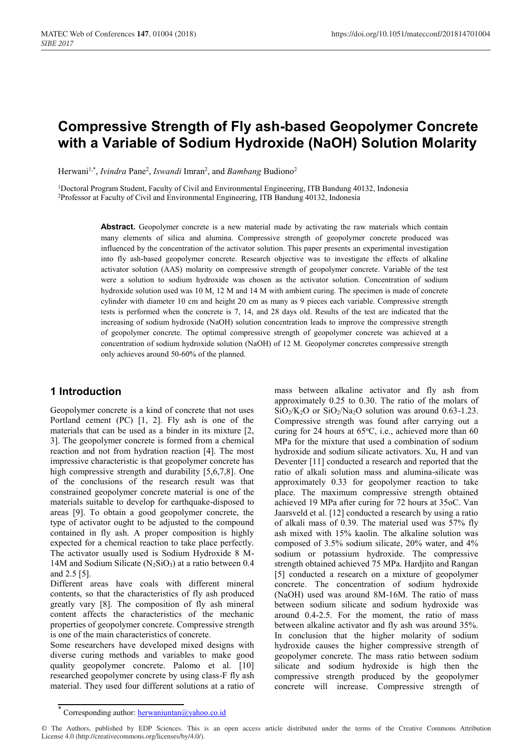# **Compressive Strength of Fly ash-based Geopolymer Concrete with a Variable of Sodium Hydroxide (NaOH) Solution Molarity**

Herwani<sup>1,\*</sup>, *Ivindra* Pane<sup>2</sup>, *Iswandi* Imran<sup>2</sup>, and *Bambang* Budiono<sup>2</sup>

1Doctoral Program Student, Faculty of Civil and Environmental Engineering, ITB Bandung 40132, Indonesia 2Professor at Faculty of Civil and Environmental Engineering, ITB Bandung 40132, Indonesia

> Abstract. Geopolymer concrete is a new material made by activating the raw materials which contain many elements of silica and alumina. Compressive strength of geopolymer concrete produced was influenced by the concentration of the activator solution. This paper presents an experimental investigation into fly ash-based geopolymer concrete. Research objective was to investigate the effects of alkaline activator solution (AAS) molarity on compressive strength of geopolymer concrete. Variable of the test were a solution to sodium hydroxide was chosen as the activator solution. Concentration of sodium hydroxide solution used was 10 M, 12 M and 14 M with ambient curing. The specimen is made of concrete cylinder with diameter 10 cm and height 20 cm as many as 9 pieces each variable. Compressive strength tests is performed when the concrete is 7, 14, and 28 days old. Results of the test are indicated that the increasing of sodium hydroxide (NaOH) solution concentration leads to improve the compressive strength of geopolymer concrete. The optimal compressive strength of geopolymer concrete was achieved at a concentration of sodium hydroxide solution (NaOH) of 12 M. Geopolymer concretes compressive strength only achieves around 50-60% of the planned.

# **1 Introduction**

Geopolymer concrete is a kind of concrete that not uses Portland cement (PC) [1, 2]. Fly ash is one of the materials that can be used as a binder in its mixture [2, 3]. The geopolymer concrete is formed from a chemical reaction and not from hydration reaction [4]. The most impressive characteristic is that geopolymer concrete has high compressive strength and durability [5,6,7,8]. One of the conclusions of the research result was that constrained geopolymer concrete material is one of the materials suitable to develop for earthquake-disposed to areas [9]. To obtain a good geopolymer concrete, the type of activator ought to be adjusted to the compound contained in fly ash. A proper composition is highly expected for a chemical reaction to take place perfectly. The activator usually used is Sodium Hydroxide 8 M-14M and Sodium Silicate  $(N_2SiO_3)$  at a ratio between 0.4 and 2.5 [5].

Different areas have coals with different mineral contents, so that the characteristics of fly ash produced greatly vary [8]. The composition of fly ash mineral content affects the characteristics of the mechanic properties of geopolymer concrete. Compressive strength is one of the main characteristics of concrete.

Some researchers have developed mixed designs with diverse curing methods and variables to make good quality geopolymer concrete. Palomo et al. [10] researched geopolymer concrete by using class-F fly ash material. They used four different solutions at a ratio of

mass between alkaline activator and fly ash from approximately 0.25 to 0.30. The ratio of the molars of  $SiO<sub>2</sub>/K<sub>2</sub>O$  or  $SiO<sub>2</sub>/Na<sub>2</sub>O$  solution was around 0.63-1.23. Compressive strength was found after carrying out a curing for 24 hours at 65°C, i.e., achieved more than 60 MPa for the mixture that used a combination of sodium hydroxide and sodium silicate activators. Xu, H and van Deventer [11] conducted a research and reported that the ratio of alkali solution mass and alumina-silicate was approximately 0.33 for geopolymer reaction to take place. The maximum compressive strength obtained achieved 19 MPa after curing for 72 hours at 35oC. Van Jaarsveld et al. [12] conducted a research by using a ratio of alkali mass of 0.39. The material used was 57% fly ash mixed with 15% kaolin. The alkaline solution was composed of 3.5% sodium silicate, 20% water, and 4% sodium or potassium hydroxide. The compressive strength obtained achieved 75 MPa. Hardjito and Rangan [5] conducted a research on a mixture of geopolymer concrete. The concentration of sodium hydroxide (NaOH) used was around 8M-16M. The ratio of mass between sodium silicate and sodium hydroxide was around 0.4-2.5. For the moment, the ratio of mass between alkaline activator and fly ash was around 35%. In conclusion that the higher molarity of sodium hydroxide causes the higher compressive strength of geopolymer concrete. The mass ratio between sodium silicate and sodium hydroxide is high then the compressive strength produced by the geopolymer concrete will increase. Compressive strength of

© The Authors, published by EDP Sciences. This is an open access article distributed under the terms of the Creative Commons Attribution License 4.0 (http://creativecommons.org/licenses/by/4.0/).

Corresponding author:  $h$ erwaniuntan@yahoo.co.id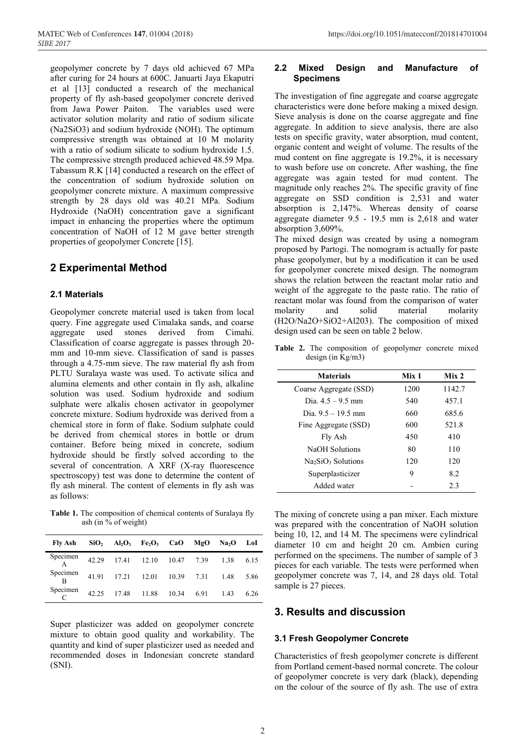geopolymer concrete by 7 days old achieved 67 MPa after curing for 24 hours at 600C. Januarti Jaya Ekaputri et al [13] conducted a research of the mechanical property of fly ash-based geopolymer concrete derived from Jawa Power Paiton. The variables used were activator solution molarity and ratio of sodium silicate (Na2SiO3) and sodium hydroxide (NOH). The optimum compressive strength was obtained at 10 M molarity with a ratio of sodium silicate to sodium hydroxide 1.5. The compressive strength produced achieved 48.59 Mpa. Tabassum R.K [14] conducted a research on the effect of the concentration of sodium hydroxide solution on geopolymer concrete mixture. A maximum compressive strength by 28 days old was 40.21 MPa. Sodium Hydroxide (NaOH) concentration gave a significant impact in enhancing the properties where the optimum concentration of NaOH of 12 M gave better strength properties of geopolymer Concrete [15].

# **2 Experimental Method**

#### **2.1 Materials**

Geopolymer concrete material used is taken from local query. Fine aggregate used Cimalaka sands, and coarse aggregate used stones derived from Cimahi. Classification of coarse aggregate is passes through 20 mm and 10-mm sieve. Classification of sand is passes through a 4.75-mm sieve. The raw material fly ash from PLTU Suralaya waste was used. To activate silica and alumina elements and other contain in fly ash, alkaline solution was used. Sodium hydroxide and sodium sulphate were alkalis chosen activator in geopolymer concrete mixture. Sodium hydroxide was derived from a chemical store in form of flake. Sodium sulphate could be derived from chemical stores in bottle or drum container. Before being mixed in concrete, sodium hydroxide should be firstly solved according to the several of concentration. A XRF (X-ray fluorescence spectroscopy) test was done to determine the content of fly ash mineral. The content of elements in fly ash was as follows:

**Table 1.** The composition of chemical contents of Suralaya fly ash (in % of weight)

| Fly Ash       |                   | $SiO2$ Al <sub>2</sub> O <sub>3</sub> Fe <sub>2</sub> O <sub>3</sub> CaO MgO |  | $Na2O$ LoI      |      |
|---------------|-------------------|------------------------------------------------------------------------------|--|-----------------|------|
| Specimen<br>A |                   | 42.29 17.41 12.10 10.47 7.39 1.38                                            |  |                 | 6.15 |
| Specimen<br>B |                   | 41.91  17.21  12.01  10.39  7.31                                             |  | 1.48            | 5.86 |
| Specimen      | 42.25 17.48 11.88 |                                                                              |  | 10.34 6.91 1.43 | 6.26 |

Super plasticizer was added on geopolymer concrete mixture to obtain good quality and workability. The quantity and kind of super plasticizer used as needed and recommended doses in Indonesian concrete standard (SNI).

#### **2.2 Mixed Design and Manufacture of Specimens**

The investigation of fine aggregate and coarse aggregate characteristics were done before making a mixed design. Sieve analysis is done on the coarse aggregate and fine aggregate. In addition to sieve analysis, there are also tests on specific gravity, water absorption, mud content, organic content and weight of volume. The results of the mud content on fine aggregate is 19.2%, it is necessary to wash before use on concrete. After washing, the fine aggregate was again tested for mud content. The magnitude only reaches 2%. The specific gravity of fine aggregate on SSD condition is 2,531 and water absorption is 2,147%. Whereas density of coarse aggregate diameter 9.5 - 19.5 mm is 2,618 and water absorption 3,609%.

The mixed design was created by using a nomogram proposed by Partogi. The nomogram is actually for paste phase geopolymer, but by a modification it can be used for geopolymer concrete mixed design. The nomogram shows the relation between the reactant molar ratio and weight of the aggregate to the paste ratio. The ratio of reactant molar was found from the comparison of water molarity and solid material molarity (H2O/Na2O+SiO2+Al203). The composition of mixed design used can be seen on table 2 below.

Table 2. The composition of geopolymer concrete mixed design (in Kg/m3)

| Mix 1 | Mix <sub>2</sub> |  |
|-------|------------------|--|
| 1200  | 1142.7           |  |
| 540   | 457.1            |  |
| 660   | 685.6            |  |
| 600   | 521.8            |  |
| 450   | 410              |  |
| 80    | 110              |  |
| 120   | 120              |  |
| 9     | 82               |  |
|       | 2.3              |  |
|       |                  |  |

The mixing of concrete using a pan mixer. Each mixture was prepared with the concentration of NaOH solution being 10, 12, and 14 M. The specimens were cylindrical diameter 10 cm and height 20 cm. Ambien curing performed on the specimens. The number of sample of 3 pieces for each variable. The tests were performed when geopolymer concrete was 7, 14, and 28 days old. Total sample is 27 pieces.

# **3. Results and discussion**

#### **3.1 Fresh Geopolymer Concrete**

Characteristics of fresh geopolymer concrete is different from Portland cement-based normal concrete. The colour of geopolymer concrete is very dark (black), depending on the colour of the source of fly ash. The use of extra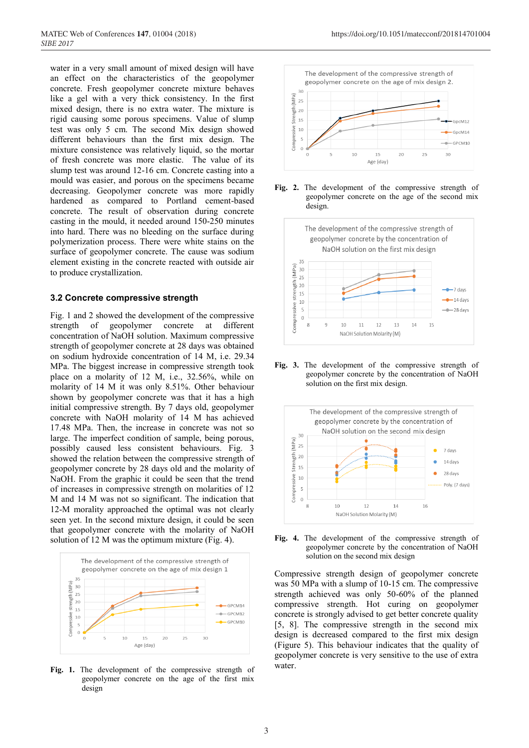water in a very small amount of mixed design will have an effect on the characteristics of the geopolymer concrete. Fresh geopolymer concrete mixture behaves like a gel with a very thick consistency. In the first mixed design, there is no extra water. The mixture is rigid causing some porous specimens. Value of slump test was only 5 cm. The second Mix design showed different behaviours than the first mix design. The mixture consistence was relatively liquid, so the mortar of fresh concrete was more elastic. The value of its slump test was around 12-16 cm. Concrete casting into a mould was easier, and porous on the specimens became decreasing. Geopolymer concrete was more rapidly hardened as compared to Portland cement-based concrete. The result of observation during concrete casting in the mould, it needed around 150-250 minutes into hard. There was no bleeding on the surface during polymerization process. There were white stains on the surface of geopolymer concrete. The cause was sodium element existing in the concrete reacted with outside air to produce crystallization.

#### **3.2 Concrete compressive strength**

Fig. 1 and 2 showed the development of the compressive strength of geopolymer concrete at different concentration of NaOH solution. Maximum compressive strength of geopolymer concrete at 28 days was obtained on sodium hydroxide concentration of 14 M, i.e. 29.34 MPa. The biggest increase in compressive strength took place on a molarity of 12 M, i.e., 32.56%, while on molarity of 14 M it was only 8.51%. Other behaviour shown by geopolymer concrete was that it has a high initial compressive strength. By 7 days old, geopolymer concrete with NaOH molarity of 14 M has achieved 17.48 MPa. Then, the increase in concrete was not so large. The imperfect condition of sample, being porous, possibly caused less consistent behaviours. Fig. 3 showed the relation between the compressive strength of geopolymer concrete by 28 days old and the molarity of NaOH. From the graphic it could be seen that the trend of increases in compressive strength on molarities of 12 M and 14 M was not so significant. The indication that 12-M morality approached the optimal was not clearly seen yet. In the second mixture design, it could be seen that geopolymer concrete with the molarity of NaOH solution of 12 M was the optimum mixture (Fig. 4).



**Fig. 1.** The development of the compressive strength of geopolymer concrete on the age of the first mix design







**Fig. 3.** The development of the compressive strength of geopolymer concrete by the concentration of NaOH solution on the first mix design.





Compressive strength design of geopolymer concrete was 50 MPa with a slump of 10-15 cm. The compressive strength achieved was only 50-60% of the planned compressive strength. Hot curing on geopolymer concrete is strongly advised to get better concrete quality [5, 8]. The compressive strength in the second mix design is decreased compared to the first mix design (Figure 5). This behaviour indicates that the quality of geopolymer concrete is very sensitive to the use of extra water.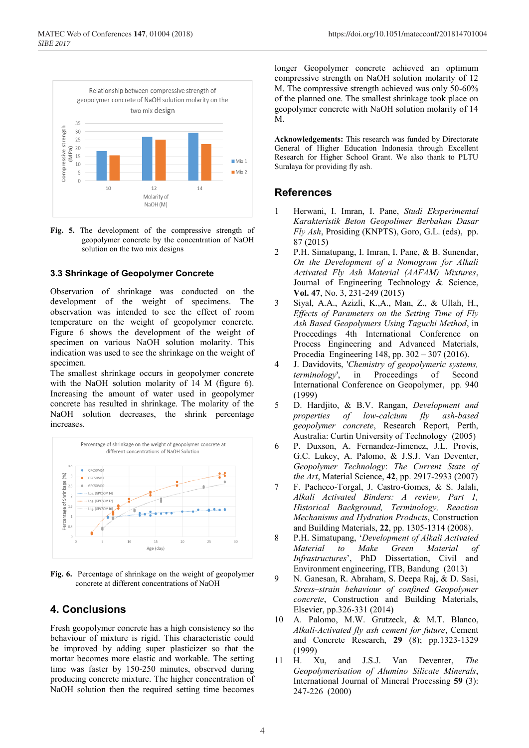

**Fig. 5.** The development of the compressive strength of geopolymer concrete by the concentration of NaOH solution on the two mix designs

#### **3.3 Shrinkage of Geopolymer Concrete**

Observation of shrinkage was conducted on the development of the weight of specimens. The observation was intended to see the effect of room temperature on the weight of geopolymer concrete. Figure 6 shows the development of the weight of specimen on various NaOH solution molarity. This indication was used to see the shrinkage on the weight of specimen.

The smallest shrinkage occurs in geopolymer concrete with the NaOH solution molarity of 14 M (figure 6). Increasing the amount of water used in geopolymer concrete has resulted in shrinkage. The molarity of the NaOH solution decreases, the shrink percentage increases.



**Fig. 6.** Percentage of shrinkage on the weight of geopolymer concrete at different concentrations of NaOH

### **4. Conclusions**

Fresh geopolymer concrete has a high consistency so the behaviour of mixture is rigid. This characteristic could be improved by adding super plasticizer so that the mortar becomes more elastic and workable. The setting time was faster by 150-250 minutes, observed during producing concrete mixture. The higher concentration of NaOH solution then the required setting time becomes

longer Geopolymer concrete achieved an optimum compressive strength on NaOH solution molarity of 12 M. The compressive strength achieved was only 50-60% of the planned one. The smallest shrinkage took place on geopolymer concrete with NaOH solution molarity of 14 M.

**Acknowledgements:** This research was funded by Directorate General of Higher Education Indonesia through Excellent Research for Higher School Grant. We also thank to PLTU Suralaya for providing fly ash.

#### **References**

- 1 Herwani, I. Imran, I. Pane, *Studi Eksperimental Karakteristik Beton Geopolimer Berbahan Dasar Fly Ash*, Prosiding (KNPTS), Goro, G.L. (eds), pp. 87 (2015)
- 2 P.H. Simatupang, I. Imran, I. Pane, & B. Sunendar, *On the Development of a Nomogram for Alkali Activated Fly Ash Material (AAFAM) Mixtures*, Journal of Engineering Technology & Science, **Vol. 47**, No. 3, 231-249 (2015)
- 3 Siyal, A.A., Azizli, K.,A., Man, Z., & Ullah, H., *Effects of Parameters on the Setting Time of Fly Ash Based Geopolymers Using Taguchi Method*, in Proceedings 4th International Conference on Process Engineering and Advanced Materials, Procedia Engineering 148, pp. 302 – 307 (2016).
- 4 J. Davidovits, '*Chemistry of geopolymeric systems, terminology*', in Proceedings of Second International Conference on Geopolymer, pp. 940 (1999)
- 5 D. Hardjito, & B.V. Rangan, *Development and properties of low-calcium fly ash-based geopolymer concrete*, Research Report, Perth, Australia: Curtin University of Technology (2005)
- 6 P. Duxson, A. Fernandez-Jimenez, J.L. Provis, G.C. Lukey, A. Palomo, & J.S.J. Van Deventer, *Geopolymer Technology*: *The Current State of the Art*, Material Science, **42**, pp. 2917-2933 (2007)
- 7 F. Pacheco-Torgal, J. Castro-Gomes, & S. Jalali, *Alkali Activated Binders: A review, Part 1, Historical Background, Terminology, Reaction Mechanisms and Hydration Products*, Construction and Building Materials, **22**, pp. 1305-1314 (2008).
- 8 P.H. Simatupang, '*Development of Alkali Activated Material to Make Green Material of Infrastructures*', PhD Dissertation, Civil and Environment engineering, ITB, Bandung (2013)
- 9 N. Ganesan, R. Abraham, S. Deepa Raj, & D. Sasi, *Stress–strain behaviour of confined Geopolymer concrete*, Construction and Building Materials, Elsevier, pp.326-331 (2014)
- 10 A. Palomo, M.W. Grutzeck, & M.T. Blanco, *Alkali-Activated fly ash cement for future*, Cement and Concrete Research, **29** (8); pp.1323-1329 (1999)
- 11 H. Xu, and J.S.J. Van Deventer, *The Geopolymerisation of Alumino Silicate Minerals*, International Journal of Mineral Processing **59** (3): 247-226 (2000)